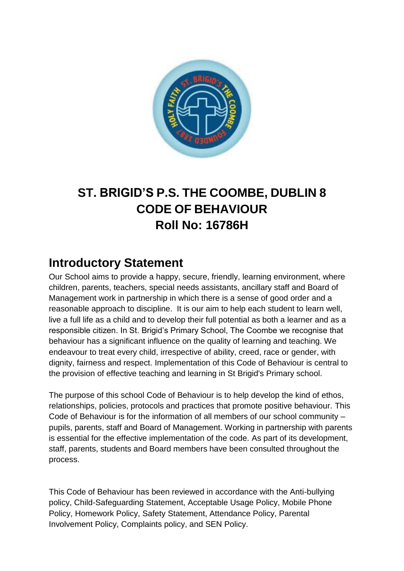

## **ST. BRIGID'S P.S. THE COOMBE, DUBLIN 8 CODE OF BEHAVIOUR Roll No: 16786H**

## **Introductory Statement**

Our School aims to provide a happy, secure, friendly, learning environment, where children, parents, teachers, special needs assistants, ancillary staff and Board of Management work in partnership in which there is a sense of good order and a reasonable approach to discipline. It is our aim to help each student to learn well, live a full life as a child and to develop their full potential as both a learner and as a responsible citizen. In St. Brigid's Primary School, The Coombe we recognise that behaviour has a significant influence on the quality of learning and teaching. We endeavour to treat every child, irrespective of ability, creed, race or gender, with dignity, fairness and respect. Implementation of this Code of Behaviour is central to the provision of effective teaching and learning in St Brigid's Primary school.

The purpose of this school Code of Behaviour is to help develop the kind of ethos, relationships, policies, protocols and practices that promote positive behaviour. This Code of Behaviour is for the information of all members of our school community – pupils, parents, staff and Board of Management. Working in partnership with parents is essential for the effective implementation of the code. As part of its development, staff, parents, students and Board members have been consulted throughout the process.

This Code of Behaviour has been reviewed in accordance with the Anti-bullying policy, Child-Safeguarding Statement, Acceptable Usage Policy, Mobile Phone Policy, Homework Policy, Safety Statement, Attendance Policy, Parental Involvement Policy, Complaints policy, and SEN Policy.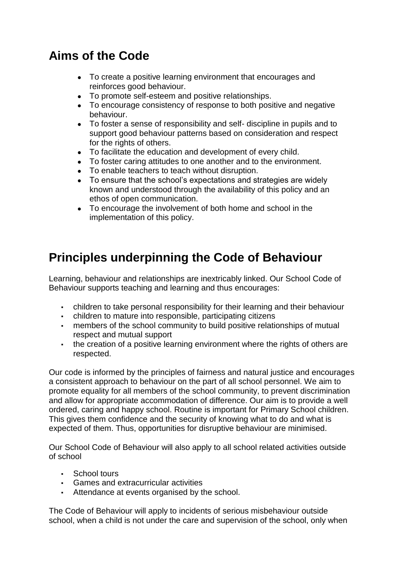## **Aims of the Code**

- To create a positive learning environment that encourages and reinforces good behaviour.
- To promote self-esteem and positive relationships.
- To encourage consistency of response to both positive and negative behaviour.
- To foster a sense of responsibility and self- discipline in pupils and to support good behaviour patterns based on consideration and respect for the rights of others.
- To facilitate the education and development of every child.
- To foster caring attitudes to one another and to the environment.
- To enable teachers to teach without disruption.
- To ensure that the school's expectations and strategies are widely known and understood through the availability of this policy and an ethos of open communication.
- To encourage the involvement of both home and school in the implementation of this policy.

## **Principles underpinning the Code of Behaviour**

Learning, behaviour and relationships are inextricably linked. Our School Code of Behaviour supports teaching and learning and thus encourages:

- children to take personal responsibility for their learning and their behaviour
- children to mature into responsible, participating citizens
- members of the school community to build positive relationships of mutual respect and mutual support
- the creation of a positive learning environment where the rights of others are respected.

Our code is informed by the principles of fairness and natural justice and encourages a consistent approach to behaviour on the part of all school personnel. We aim to promote equality for all members of the school community, to prevent discrimination and allow for appropriate accommodation of difference. Our aim is to provide a well ordered, caring and happy school. Routine is important for Primary School children. This gives them confidence and the security of knowing what to do and what is expected of them. Thus, opportunities for disruptive behaviour are minimised.

Our School Code of Behaviour will also apply to all school related activities outside of school

- School tours
- Games and extracurricular activities
- Attendance at events organised by the school.

The Code of Behaviour will apply to incidents of serious misbehaviour outside school, when a child is not under the care and supervision of the school, only when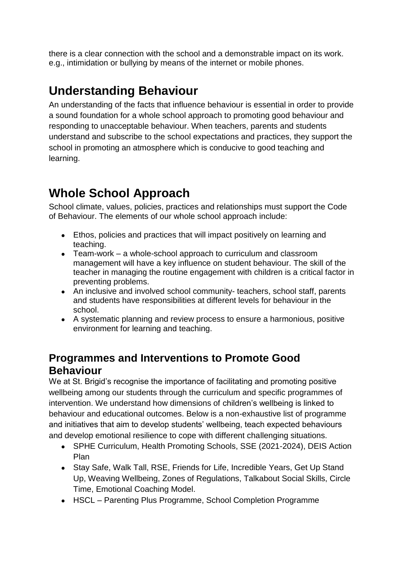there is a clear connection with the school and a demonstrable impact on its work. e.g., intimidation or bullying by means of the internet or mobile phones.

## **Understanding Behaviour**

An understanding of the facts that influence behaviour is essential in order to provide a sound foundation for a whole school approach to promoting good behaviour and responding to unacceptable behaviour. When teachers, parents and students understand and subscribe to the school expectations and practices, they support the school in promoting an atmosphere which is conducive to good teaching and learning.

# **Whole School Approach**

School climate, values, policies, practices and relationships must support the Code of Behaviour. The elements of our whole school approach include:

- Ethos, policies and practices that will impact positively on learning and teaching.
- Team-work a whole-school approach to curriculum and classroom management will have a key influence on student behaviour. The skill of the teacher in managing the routine engagement with children is a critical factor in preventing problems.
- An inclusive and involved school community- teachers, school staff, parents and students have responsibilities at different levels for behaviour in the school.
- A systematic planning and review process to ensure a harmonious, positive environment for learning and teaching.

#### **Programmes and Interventions to Promote Good Behaviour**

We at St. Brigid's recognise the importance of facilitating and promoting positive wellbeing among our students through the curriculum and specific programmes of intervention. We understand how dimensions of children's wellbeing is linked to behaviour and educational outcomes. Below is a non-exhaustive list of programme and initiatives that aim to develop students' wellbeing, teach expected behaviours and develop emotional resilience to cope with different challenging situations.

- SPHE Curriculum, Health Promoting Schools, SSE (2021-2024), DEIS Action Plan
- Stay Safe, Walk Tall, RSE, Friends for Life, Incredible Years, Get Up Stand Up, Weaving Wellbeing, Zones of Regulations, Talkabout Social Skills, Circle Time, Emotional Coaching Model.
- HSCL Parenting Plus Programme, School Completion Programme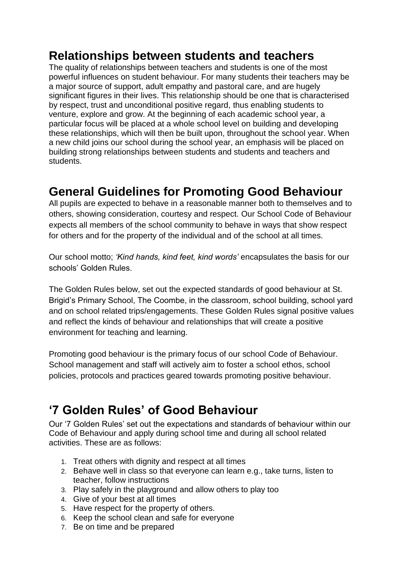### **Relationships between students and teachers**

The quality of relationships between teachers and students is one of the most powerful influences on student behaviour. For many students their teachers may be a major source of support, adult empathy and pastoral care, and are hugely significant figures in their lives. This relationship should be one that is characterised by respect, trust and unconditional positive regard, thus enabling students to venture, explore and grow. At the beginning of each academic school year, a particular focus will be placed at a whole school level on building and developing these relationships, which will then be built upon, throughout the school year. When a new child joins our school during the school year, an emphasis will be placed on building strong relationships between students and students and teachers and students.

#### **General Guidelines for Promoting Good Behaviour**

All pupils are expected to behave in a reasonable manner both to themselves and to others, showing consideration, courtesy and respect. Our School Code of Behaviour expects all members of the school community to behave in ways that show respect for others and for the property of the individual and of the school at all times.

Our school motto; *'Kind hands, kind feet, kind words'* encapsulates the basis for our schools' Golden Rules.

The Golden Rules below, set out the expected standards of good behaviour at St. Brigid's Primary School, The Coombe, in the classroom, school building, school yard and on school related trips/engagements. These Golden Rules signal positive values and reflect the kinds of behaviour and relationships that will create a positive environment for teaching and learning.

Promoting good behaviour is the primary focus of our school Code of Behaviour. School management and staff will actively aim to foster a school ethos, school policies, protocols and practices geared towards promoting positive behaviour.

## **'7 Golden Rules' of Good Behaviour**

Our '7 Golden Rules' set out the expectations and standards of behaviour within our Code of Behaviour and apply during school time and during all school related activities. These are as follows:

- 1. Treat others with dignity and respect at all times
- 2. Behave well in class so that everyone can learn e.g., take turns, listen to teacher, follow instructions
- 3. Play safely in the playground and allow others to play too
- 4. Give of your best at all times
- 5. Have respect for the property of others.
- 6. Keep the school clean and safe for everyone
- 7. Be on time and be prepared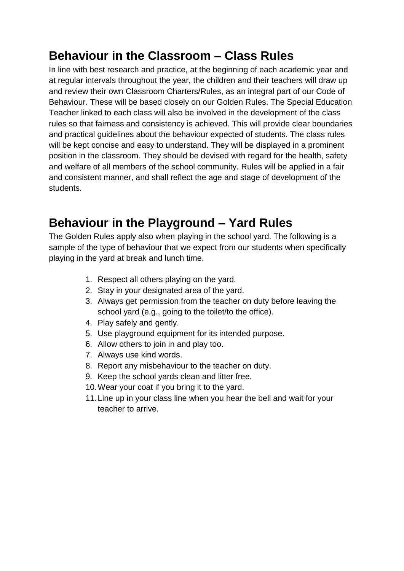## **Behaviour in the Classroom – Class Rules**

In line with best research and practice, at the beginning of each academic year and at regular intervals throughout the year, the children and their teachers will draw up and review their own Classroom Charters/Rules, as an integral part of our Code of Behaviour. These will be based closely on our Golden Rules. The Special Education Teacher linked to each class will also be involved in the development of the class rules so that fairness and consistency is achieved. This will provide clear boundaries and practical guidelines about the behaviour expected of students. The class rules will be kept concise and easy to understand. They will be displayed in a prominent position in the classroom. They should be devised with regard for the health, safety and welfare of all members of the school community. Rules will be applied in a fair and consistent manner, and shall reflect the age and stage of development of the students.

## **Behaviour in the Playground – Yard Rules**

The Golden Rules apply also when playing in the school yard. The following is a sample of the type of behaviour that we expect from our students when specifically playing in the yard at break and lunch time.

- 1. Respect all others playing on the yard.
- 2. Stay in your designated area of the yard.
- 3. Always get permission from the teacher on duty before leaving the school yard (e.g., going to the toilet/to the office).
- 4. Play safely and gently.
- 5. Use playground equipment for its intended purpose.
- 6. Allow others to join in and play too.
- 7. Always use kind words.
- 8. Report any misbehaviour to the teacher on duty.
- 9. Keep the school yards clean and litter free.
- 10.Wear your coat if you bring it to the yard.
- 11.Line up in your class line when you hear the bell and wait for your teacher to arrive.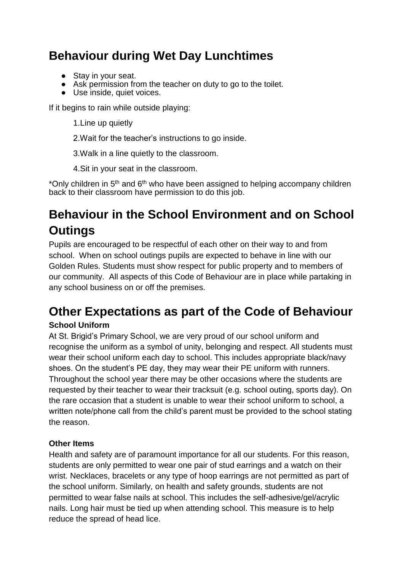## **Behaviour during Wet Day Lunchtimes**

- Stay in your seat.
- Ask permission from the teacher on duty to go to the toilet.
- Use inside, quiet voices.

If it begins to rain while outside playing:

1.Line up quietly

2. Wait for the teacher's instructions to go inside.

3.Walk in a line quietly to the classroom.

4.Sit in your seat in the classroom.

\*Only children in 5th and 6th who have been assigned to helping accompany children back to their classroom have permission to do this job.

## **Behaviour in the School Environment and on School Outings**

Pupils are encouraged to be respectful of each other on their way to and from school. When on school outings pupils are expected to behave in line with our Golden Rules. Students must show respect for public property and to members of our community. All aspects of this Code of Behaviour are in place while partaking in any school business on or off the premises.

## **Other Expectations as part of the Code of Behaviour**

#### **School Uniform**

At St. Brigid's Primary School, we are very proud of our school uniform and recognise the uniform as a symbol of unity, belonging and respect. All students must wear their school uniform each day to school. This includes appropriate black/navy shoes. On the student's PE day, they may wear their PE uniform with runners. Throughout the school year there may be other occasions where the students are requested by their teacher to wear their tracksuit (e.g. school outing, sports day). On the rare occasion that a student is unable to wear their school uniform to school, a written note/phone call from the child's parent must be provided to the school stating the reason.

#### **Other Items**

Health and safety are of paramount importance for all our students. For this reason, students are only permitted to wear one pair of stud earrings and a watch on their wrist. Necklaces, bracelets or any type of hoop earrings are not permitted as part of the school uniform. Similarly, on health and safety grounds, students are not permitted to wear false nails at school. This includes the self-adhesive/gel/acrylic nails. Long hair must be tied up when attending school. This measure is to help reduce the spread of head lice.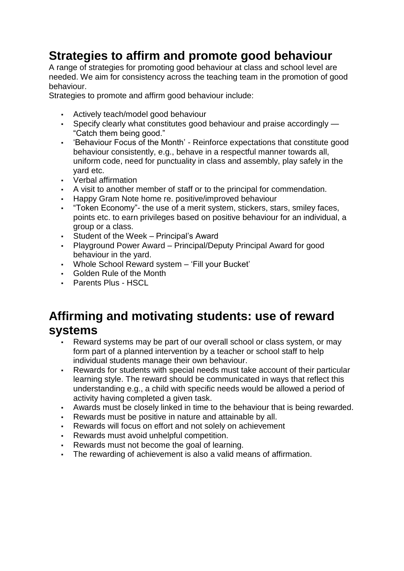## **Strategies to affirm and promote good behaviour**

A range of strategies for promoting good behaviour at class and school level are needed. We aim for consistency across the teaching team in the promotion of good behaviour.

Strategies to promote and affirm good behaviour include:

- Actively teach/model good behaviour
- Specify clearly what constitutes good behaviour and praise accordingly "Catch them being good."
- 'Behaviour Focus of the Month' Reinforce expectations that constitute good behaviour consistently, e.g., behave in a respectful manner towards all, uniform code, need for punctuality in class and assembly, play safely in the yard etc.
- Verbal affirmation
- A visit to another member of staff or to the principal for commendation.
- Happy Gram Note home re. positive/improved behaviour
- "Token Economy"- the use of a merit system, stickers, stars, smiley faces, points etc. to earn privileges based on positive behaviour for an individual, a group or a class.
- Student of the Week Principal's Award
- Playground Power Award Principal/Deputy Principal Award for good behaviour in the yard.
- Whole School Reward system 'Fill your Bucket'
- Golden Rule of the Month
- Parents Plus HSCL

### **Affirming and motivating students: use of reward systems**

- Reward systems may be part of our overall school or class system, or may form part of a planned intervention by a teacher or school staff to help individual students manage their own behaviour.
- Rewards for students with special needs must take account of their particular learning style. The reward should be communicated in ways that reflect this understanding e.g., a child with specific needs would be allowed a period of activity having completed a given task.
- Awards must be closely linked in time to the behaviour that is being rewarded.
- Rewards must be positive in nature and attainable by all.
- Rewards will focus on effort and not solely on achievement
- Rewards must avoid unhelpful competition.
- Rewards must not become the goal of learning.
- The rewarding of achievement is also a valid means of affirmation.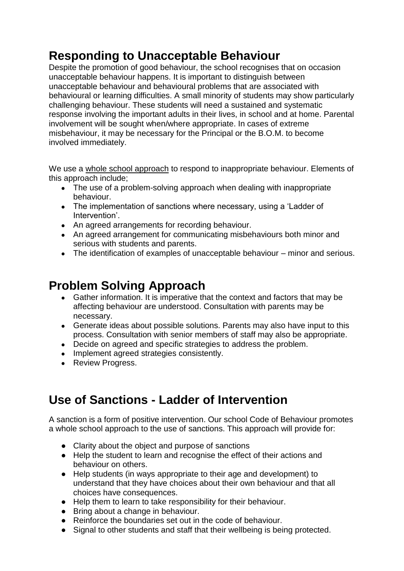## **Responding to Unacceptable Behaviour**

Despite the promotion of good behaviour, the school recognises that on occasion unacceptable behaviour happens. It is important to distinguish between unacceptable behaviour and behavioural problems that are associated with behavioural or learning difficulties. A small minority of students may show particularly challenging behaviour. These students will need a sustained and systematic response involving the important adults in their lives, in school and at home. Parental involvement will be sought when/where appropriate. In cases of extreme misbehaviour, it may be necessary for the Principal or the B.O.M. to become involved immediately.

We use a whole school approach to respond to inappropriate behaviour. Elements of this approach include;

- The use of a problem-solving approach when dealing with inappropriate behaviour.
- The implementation of sanctions where necessary, using a 'Ladder of Intervention'.
- An agreed arrangements for recording behaviour.
- An agreed arrangement for communicating misbehaviours both minor and serious with students and parents.
- The identification of examples of unacceptable behaviour minor and serious.

## **Problem Solving Approach**

- Gather information. It is imperative that the context and factors that may be affecting behaviour are understood. Consultation with parents may be necessary.
- Generate ideas about possible solutions. Parents may also have input to this process. Consultation with senior members of staff may also be appropriate.
- Decide on agreed and specific strategies to address the problem.
- Implement agreed strategies consistently.
- Review Progress.

## **Use of Sanctions - Ladder of Intervention**

A sanction is a form of positive intervention. Our school Code of Behaviour promotes a whole school approach to the use of sanctions. This approach will provide for:

- Clarity about the object and purpose of sanctions
- Help the student to learn and recognise the effect of their actions and behaviour on others.
- Help students (in ways appropriate to their age and development) to understand that they have choices about their own behaviour and that all choices have consequences.
- Help them to learn to take responsibility for their behaviour.
- Bring about a change in behaviour.
- Reinforce the boundaries set out in the code of behaviour.
- Signal to other students and staff that their wellbeing is being protected.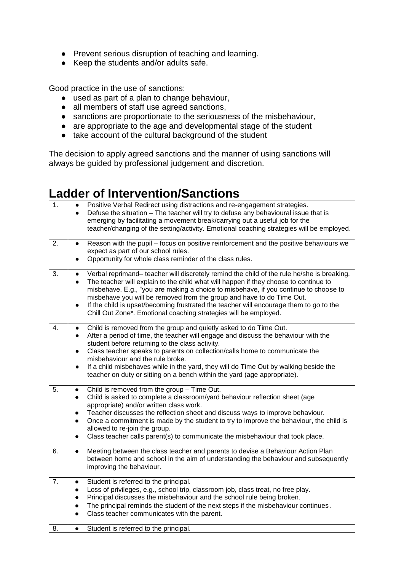- Prevent serious disruption of teaching and learning.
- Keep the students and/or adults safe.

Good practice in the use of sanctions:

- used as part of a plan to change behaviour,
- all members of staff use agreed sanctions,
- sanctions are proportionate to the seriousness of the misbehaviour,
- are appropriate to the age and developmental stage of the student
- take account of the cultural background of the student

The decision to apply agreed sanctions and the manner of using sanctions will always be guided by professional judgement and discretion.

### **Ladder of Intervention/Sanctions**

| 1.               | Positive Verbal Redirect using distractions and re-engagement strategies.<br>$\bullet$<br>Defuse the situation - The teacher will try to defuse any behavioural issue that is<br>emerging by facilitating a movement break/carrying out a useful job for the<br>teacher/changing of the setting/activity. Emotional coaching strategies will be employed.                                                                                                                                                                                                |
|------------------|----------------------------------------------------------------------------------------------------------------------------------------------------------------------------------------------------------------------------------------------------------------------------------------------------------------------------------------------------------------------------------------------------------------------------------------------------------------------------------------------------------------------------------------------------------|
| 2.               | Reason with the pupil - focus on positive reinforcement and the positive behaviours we<br>$\bullet$<br>expect as part of our school rules.<br>Opportunity for whole class reminder of the class rules.<br>$\bullet$                                                                                                                                                                                                                                                                                                                                      |
| 3.               | Verbal reprimand- teacher will discretely remind the child of the rule he/she is breaking.<br>$\bullet$<br>The teacher will explain to the child what will happen if they choose to continue to<br>$\bullet$<br>misbehave. E.g., "you are making a choice to misbehave, if you continue to choose to<br>misbehave you will be removed from the group and have to do Time Out.<br>If the child is upset/becoming frustrated the teacher will encourage them to go to the<br>$\bullet$<br>Chill Out Zone*. Emotional coaching strategies will be employed. |
| $\overline{4}$ . | Child is removed from the group and quietly asked to do Time Out.<br>$\bullet$<br>After a period of time, the teacher will engage and discuss the behaviour with the<br>$\bullet$<br>student before returning to the class activity.<br>Class teacher speaks to parents on collection/calls home to communicate the<br>misbehaviour and the rule broke.<br>If a child misbehaves while in the yard, they will do Time Out by walking beside the<br>$\bullet$<br>teacher on duty or sitting on a bench within the yard (age appropriate).                 |
| 5.               | Child is removed from the group - Time Out.<br>$\bullet$<br>Child is asked to complete a classroom/yard behaviour reflection sheet (age<br>$\bullet$<br>appropriate) and/or written class work.<br>Teacher discusses the reflection sheet and discuss ways to improve behaviour.<br>Once a commitment is made by the student to try to improve the behaviour, the child is<br>$\bullet$<br>allowed to re-join the group.<br>Class teacher calls parent(s) to communicate the misbehaviour that took place.<br>$\bullet$                                  |
| 6.               | Meeting between the class teacher and parents to devise a Behaviour Action Plan<br>$\bullet$<br>between home and school in the aim of understanding the behaviour and subsequently<br>improving the behaviour.                                                                                                                                                                                                                                                                                                                                           |
| 7.               | Student is referred to the principal.<br>$\bullet$<br>Loss of privileges, e.g., school trip, classroom job, class treat, no free play.<br>$\bullet$<br>Principal discusses the misbehaviour and the school rule being broken.<br>The principal reminds the student of the next steps if the misbehaviour continues.<br>$\bullet$<br>Class teacher communicates with the parent.<br>$\bullet$                                                                                                                                                             |
| 8.               | Student is referred to the principal.                                                                                                                                                                                                                                                                                                                                                                                                                                                                                                                    |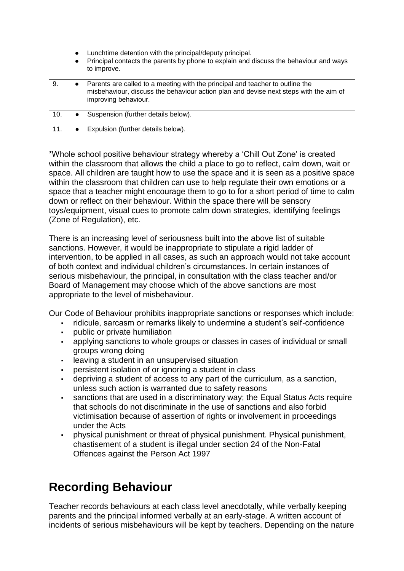|     | $\bullet$ | Lunchtime detention with the principal/deputy principal.<br>Principal contacts the parents by phone to explain and discuss the behaviour and ways<br>to improve.                               |
|-----|-----------|------------------------------------------------------------------------------------------------------------------------------------------------------------------------------------------------|
| 9.  | $\bullet$ | Parents are called to a meeting with the principal and teacher to outline the<br>misbehaviour, discuss the behaviour action plan and devise next steps with the aim of<br>improving behaviour. |
| 10. | $\bullet$ | Suspension (further details below).                                                                                                                                                            |
| 11. |           | Expulsion (further details below).                                                                                                                                                             |

\*Whole school positive behaviour strategy whereby a 'Chill Out Zone' is created within the classroom that allows the child a place to go to reflect, calm down, wait or space. All children are taught how to use the space and it is seen as a positive space within the classroom that children can use to help regulate their own emotions or a space that a teacher might encourage them to go to for a short period of time to calm down or reflect on their behaviour. Within the space there will be sensory toys/equipment, visual cues to promote calm down strategies, identifying feelings (Zone of Regulation), etc.

There is an increasing level of seriousness built into the above list of suitable sanctions. However, it would be inappropriate to stipulate a rigid ladder of intervention, to be applied in all cases, as such an approach would not take account of both context and individual children's circumstances. In certain instances of serious misbehaviour, the principal, in consultation with the class teacher and/or Board of Management may choose which of the above sanctions are most appropriate to the level of misbehaviour.

Our Code of Behaviour prohibits inappropriate sanctions or responses which include:

- ridicule, sarcasm or remarks likely to undermine a student's self-confidence
- public or private humiliation
- applying sanctions to whole groups or classes in cases of individual or small groups wrong doing
- leaving a student in an unsupervised situation
- persistent isolation of or ignoring a student in class
- depriving a student of access to any part of the curriculum, as a sanction, unless such action is warranted due to safety reasons
- sanctions that are used in a discriminatory way; the Equal Status Acts require that schools do not discriminate in the use of sanctions and also forbid victimisation because of assertion of rights or involvement in proceedings under the Acts
- physical punishment or threat of physical punishment. Physical punishment, chastisement of a student is illegal under section 24 of the Non-Fatal Offences against the Person Act 1997

## **Recording Behaviour**

Teacher records behaviours at each class level anecdotally, while verbally keeping parents and the principal informed verbally at an early-stage. A written account of incidents of serious misbehaviours will be kept by teachers. Depending on the nature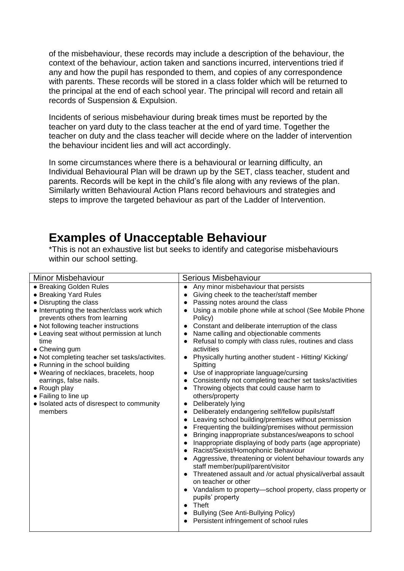of the misbehaviour, these records may include a description of the behaviour, the context of the behaviour, action taken and sanctions incurred, interventions tried if any and how the pupil has responded to them, and copies of any correspondence with parents. These records will be stored in a class folder which will be returned to the principal at the end of each school year. The principal will record and retain all records of Suspension & Expulsion.

Incidents of serious misbehaviour during break times must be reported by the teacher on yard duty to the class teacher at the end of yard time. Together the teacher on duty and the class teacher will decide where on the ladder of intervention the behaviour incident lies and will act accordingly.

In some circumstances where there is a behavioural or learning difficulty, an Individual Behavioural Plan will be drawn up by the SET, class teacher, student and parents. Records will be kept in the child's file along with any reviews of the plan. Similarly written Behavioural Action Plans record behaviours and strategies and steps to improve the targeted behaviour as part of the Ladder of Intervention.

### **Examples of Unacceptable Behaviour**

\*This is not an exhaustive list but seeks to identify and categorise misbehaviours within our school setting.

| <b>Minor Misbehaviour</b>                                                                                                                                                                                                                                                                                                                                                                                                                                                                                                            | Serious Misbehaviour                                                                                                                                                                                                                                                                                                                                                                                                                                                                                                                                                                                                                                                                                                                                                                                                                                                                                                                                                                                                                                                                                                                                                                                                                                                                                                                                                                                                                                                                                  |
|--------------------------------------------------------------------------------------------------------------------------------------------------------------------------------------------------------------------------------------------------------------------------------------------------------------------------------------------------------------------------------------------------------------------------------------------------------------------------------------------------------------------------------------|-------------------------------------------------------------------------------------------------------------------------------------------------------------------------------------------------------------------------------------------------------------------------------------------------------------------------------------------------------------------------------------------------------------------------------------------------------------------------------------------------------------------------------------------------------------------------------------------------------------------------------------------------------------------------------------------------------------------------------------------------------------------------------------------------------------------------------------------------------------------------------------------------------------------------------------------------------------------------------------------------------------------------------------------------------------------------------------------------------------------------------------------------------------------------------------------------------------------------------------------------------------------------------------------------------------------------------------------------------------------------------------------------------------------------------------------------------------------------------------------------------|
| • Breaking Golden Rules<br>• Breaking Yard Rules<br>• Disrupting the class<br>• Interrupting the teacher/class work which<br>prevents others from learning<br>• Not following teacher instructions<br>• Leaving seat without permission at lunch<br>time<br>• Chewing gum<br>• Not completing teacher set tasks/activites.<br>• Running in the school building<br>• Wearing of necklaces, bracelets, hoop<br>earrings, false nails.<br>• Rough play<br>• Failing to line up<br>• Isolated acts of disrespect to community<br>members | Any minor misbehaviour that persists<br>$\bullet$<br>Giving cheek to the teacher/staff member<br>Passing notes around the class<br>Using a mobile phone while at school (See Mobile Phone<br>Policy)<br>Constant and deliberate interruption of the class<br>$\bullet$<br>Name calling and objectionable comments<br>Refusal to comply with class rules, routines and class<br>$\bullet$<br>activities<br>Physically hurting another student - Hitting/Kicking/<br>$\bullet$<br>Spitting<br>Use of inappropriate language/cursing<br>$\bullet$<br>Consistently not completing teacher set tasks/activities<br>Throwing objects that could cause harm to<br>others/property<br>Deliberately lying<br>$\bullet$<br>Deliberately endangering self/fellow pupils/staff<br>Leaving school building/premises without permission<br>$\bullet$<br>Frequenting the building/premises without permission<br>$\bullet$<br>Bringing inappropriate substances/weapons to school<br>Inappropriate displaying of body parts (age appropriate)<br>$\bullet$<br>Racist/Sexist/Homophonic Behaviour<br>$\bullet$<br>Aggressive, threatening or violent behaviour towards any<br>staff member/pupil/parent/visitor<br>Threatened assault and /or actual physical/verbal assault<br>$\bullet$<br>on teacher or other<br>Vandalism to property-school property, class property or<br>$\bullet$<br>pupils' property<br>Theft<br>$\bullet$<br>Bullying (See Anti-Bullying Policy)<br>Persistent infringement of school rules |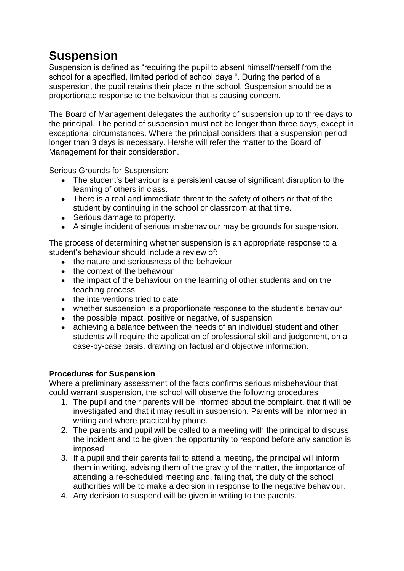## **Suspension**

Suspension is defined as "requiring the pupil to absent himself/herself from the school for a specified, limited period of school days ". During the period of a suspension, the pupil retains their place in the school. Suspension should be a proportionate response to the behaviour that is causing concern.

The Board of Management delegates the authority of suspension up to three days to the principal. The period of suspension must not be longer than three days, except in exceptional circumstances. Where the principal considers that a suspension period longer than 3 days is necessary. He/she will refer the matter to the Board of Management for their consideration.

Serious Grounds for Suspension:

- The student's behaviour is a persistent cause of significant disruption to the learning of others in class.
- There is a real and immediate threat to the safety of others or that of the student by continuing in the school or classroom at that time.
- Serious damage to property.
- A single incident of serious misbehaviour may be grounds for suspension.

The process of determining whether suspension is an appropriate response to a student's behaviour should include a review of:

- the nature and seriousness of the behaviour
- the context of the behaviour
- the impact of the behaviour on the learning of other students and on the teaching process
- the interventions tried to date
- whether suspension is a proportionate response to the student's behaviour
- the possible impact, positive or negative, of suspension
- achieving a balance between the needs of an individual student and other students will require the application of professional skill and judgement, on a case-by-case basis, drawing on factual and objective information.

#### **Procedures for Suspension**

Where a preliminary assessment of the facts confirms serious misbehaviour that could warrant suspension, the school will observe the following procedures:

- 1. The pupil and their parents will be informed about the complaint, that it will be investigated and that it may result in suspension. Parents will be informed in writing and where practical by phone.
- 2. The parents and pupil will be called to a meeting with the principal to discuss the incident and to be given the opportunity to respond before any sanction is imposed.
- 3. If a pupil and their parents fail to attend a meeting, the principal will inform them in writing, advising them of the gravity of the matter, the importance of attending a re-scheduled meeting and, failing that, the duty of the school authorities will be to make a decision in response to the negative behaviour.
- 4. Any decision to suspend will be given in writing to the parents.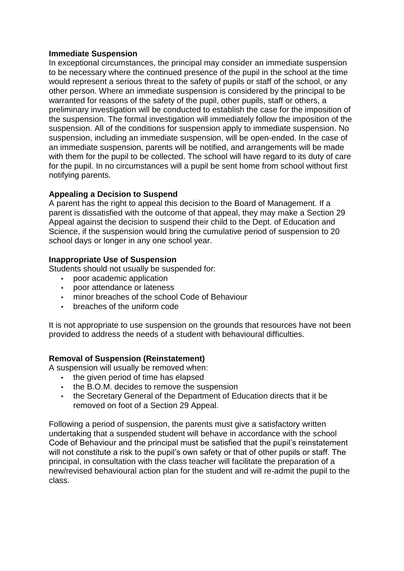#### **Immediate Suspension**

In exceptional circumstances, the principal may consider an immediate suspension to be necessary where the continued presence of the pupil in the school at the time would represent a serious threat to the safety of pupils or staff of the school, or any other person. Where an immediate suspension is considered by the principal to be warranted for reasons of the safety of the pupil, other pupils, staff or others, a preliminary investigation will be conducted to establish the case for the imposition of the suspension. The formal investigation will immediately follow the imposition of the suspension. All of the conditions for suspension apply to immediate suspension. No suspension, including an immediate suspension, will be open-ended. In the case of an immediate suspension, parents will be notified, and arrangements will be made with them for the pupil to be collected. The school will have regard to its duty of care for the pupil. In no circumstances will a pupil be sent home from school without first notifying parents.

#### **Appealing a Decision to Suspend**

A parent has the right to appeal this decision to the Board of Management. If a parent is dissatisfied with the outcome of that appeal, they may make a Section 29 Appeal against the decision to suspend their child to the Dept. of Education and Science, if the suspension would bring the cumulative period of suspension to 20 school days or longer in any one school year.

#### **Inappropriate Use of Suspension**

Students should not usually be suspended for:

- poor academic application
- poor attendance or lateness
- minor breaches of the school Code of Behaviour
- breaches of the uniform code

It is not appropriate to use suspension on the grounds that resources have not been provided to address the needs of a student with behavioural difficulties.

#### **Removal of Suspension (Reinstatement)**

A suspension will usually be removed when:

- the given period of time has elapsed
- the B.O.M. decides to remove the suspension
- the Secretary General of the Department of Education directs that it be removed on foot of a Section 29 Appeal.

Following a period of suspension, the parents must give a satisfactory written undertaking that a suspended student will behave in accordance with the school Code of Behaviour and the principal must be satisfied that the pupil's reinstatement will not constitute a risk to the pupil's own safety or that of other pupils or staff. The principal, in consultation with the class teacher will facilitate the preparation of a new/revised behavioural action plan for the student and will re-admit the pupil to the class.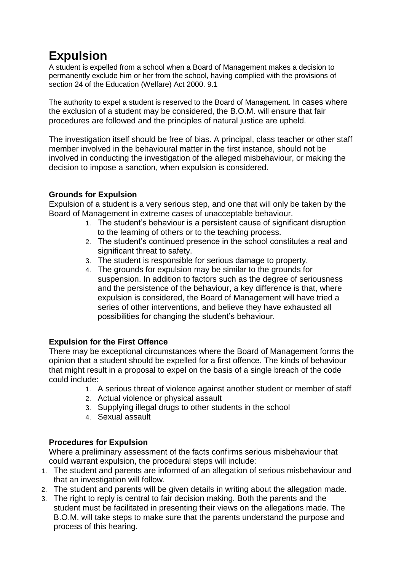## **Expulsion**

A student is expelled from a school when a Board of Management makes a decision to permanently exclude him or her from the school, having complied with the provisions of section 24 of the Education (Welfare) Act 2000. 9.1

The authority to expel a student is reserved to the Board of Management. In cases where the exclusion of a student may be considered, the B.O.M. will ensure that fair procedures are followed and the principles of natural justice are upheld.

The investigation itself should be free of bias. A principal, class teacher or other staff member involved in the behavioural matter in the first instance, should not be involved in conducting the investigation of the alleged misbehaviour, or making the decision to impose a sanction, when expulsion is considered.

#### **Grounds for Expulsion**

Expulsion of a student is a very serious step, and one that will only be taken by the Board of Management in extreme cases of unacceptable behaviour.

- 1. The student's behaviour is a persistent cause of significant disruption to the learning of others or to the teaching process.
- 2. The student's continued presence in the school constitutes a real and significant threat to safety.
- 3. The student is responsible for serious damage to property.
- 4. The grounds for expulsion may be similar to the grounds for suspension. In addition to factors such as the degree of seriousness and the persistence of the behaviour, a key difference is that, where expulsion is considered, the Board of Management will have tried a series of other interventions, and believe they have exhausted all possibilities for changing the student's behaviour.

#### **Expulsion for the First Offence**

There may be exceptional circumstances where the Board of Management forms the opinion that a student should be expelled for a first offence. The kinds of behaviour that might result in a proposal to expel on the basis of a single breach of the code could include:

- 1. A serious threat of violence against another student or member of staff
- 2. Actual violence or physical assault
- 3. Supplying illegal drugs to other students in the school
- 4. Sexual assault

#### **Procedures for Expulsion**

Where a preliminary assessment of the facts confirms serious misbehaviour that could warrant expulsion, the procedural steps will include:

- 1. The student and parents are informed of an allegation of serious misbehaviour and that an investigation will follow.
- 2. The student and parents will be given details in writing about the allegation made.
- 3. The right to reply is central to fair decision making. Both the parents and the student must be facilitated in presenting their views on the allegations made. The B.O.M. will take steps to make sure that the parents understand the purpose and process of this hearing.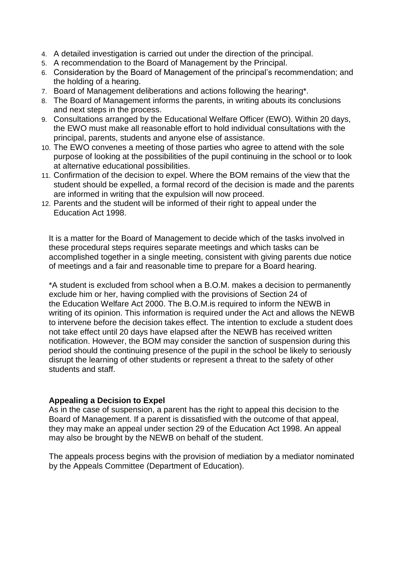- 4. A detailed investigation is carried out under the direction of the principal.
- 5. A recommendation to the Board of Management by the Principal.
- 6. Consideration by the Board of Management of the principal's recommendation; and the holding of a hearing.
- 7. Board of Management deliberations and actions following the hearing\*.
- 8. The Board of Management informs the parents, in writing abouts its conclusions and next steps in the process.
- 9. Consultations arranged by the Educational Welfare Officer (EWO). Within 20 days, the EWO must make all reasonable effort to hold individual consultations with the principal, parents, students and anyone else of assistance.
- 10. The EWO convenes a meeting of those parties who agree to attend with the sole purpose of looking at the possibilities of the pupil continuing in the school or to look at alternative educational possibilities.
- 11. Confirmation of the decision to expel. Where the BOM remains of the view that the student should be expelled, a formal record of the decision is made and the parents are informed in writing that the expulsion will now proceed.
- 12. Parents and the student will be informed of their right to appeal under the Education Act 1998.

It is a matter for the Board of Management to decide which of the tasks involved in these procedural steps requires separate meetings and which tasks can be accomplished together in a single meeting, consistent with giving parents due notice of meetings and a fair and reasonable time to prepare for a Board hearing.

\*A student is excluded from school when a B.O.M. makes a decision to permanently exclude him or her, having complied with the provisions of Section 24 of the Education Welfare Act 2000. The B.O.M.is required to inform the NEWB in writing of its opinion. This information is required under the Act and allows the NEWB to intervene before the decision takes effect. The intention to exclude a student does not take effect until 20 days have elapsed after the NEWB has received written notification. However, the BOM may consider the sanction of suspension during this period should the continuing presence of the pupil in the school be likely to seriously disrupt the learning of other students or represent a threat to the safety of other students and staff.

#### **Appealing a Decision to Expel**

As in the case of suspension, a parent has the right to appeal this decision to the Board of Management. If a parent is dissatisfied with the outcome of that appeal, they may make an appeal under section 29 of the Education Act 1998. An appeal may also be brought by the NEWB on behalf of the student.

The appeals process begins with the provision of mediation by a mediator nominated by the Appeals Committee (Department of Education).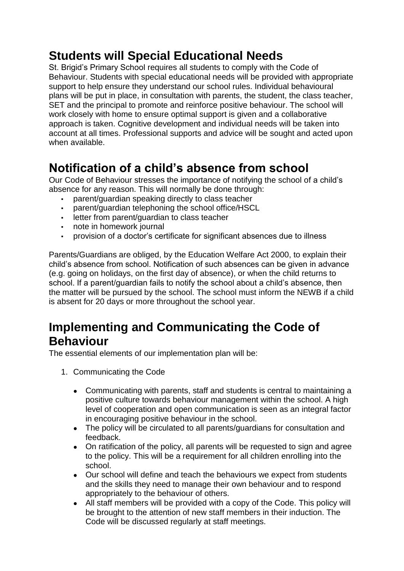## **Students will Special Educational Needs**

St. Brigid's Primary School requires all students to comply with the Code of Behaviour. Students with special educational needs will be provided with appropriate support to help ensure they understand our school rules. Individual behavioural plans will be put in place, in consultation with parents, the student, the class teacher, SET and the principal to promote and reinforce positive behaviour. The school will work closely with home to ensure optimal support is given and a collaborative approach is taken. Cognitive development and individual needs will be taken into account at all times. Professional supports and advice will be sought and acted upon when available.

## **Notification of a child's absence from school**

Our Code of Behaviour stresses the importance of notifying the school of a child's absence for any reason. This will normally be done through:

- parent/guardian speaking directly to class teacher
- parent/guardian telephoning the school office/HSCL
- letter from parent/guardian to class teacher
- note in homework journal
- provision of a doctor's certificate for significant absences due to illness

Parents/Guardians are obliged, by the Education Welfare Act 2000, to explain their child's absence from school. Notification of such absences can be given in advance (e.g. going on holidays, on the first day of absence), or when the child returns to school. If a parent/guardian fails to notify the school about a child's absence, then the matter will be pursued by the school. The school must inform the NEWB if a child is absent for 20 days or more throughout the school year.

### **Implementing and Communicating the Code of Behaviour**

The essential elements of our implementation plan will be:

- 1. Communicating the Code
	- Communicating with parents, staff and students is central to maintaining a positive culture towards behaviour management within the school. A high level of cooperation and open communication is seen as an integral factor in encouraging positive behaviour in the school.
	- The policy will be circulated to all parents/guardians for consultation and feedback.
	- On ratification of the policy, all parents will be requested to sign and agree to the policy. This will be a requirement for all children enrolling into the school.
	- Our school will define and teach the behaviours we expect from students and the skills they need to manage their own behaviour and to respond appropriately to the behaviour of others.
	- All staff members will be provided with a copy of the Code. This policy will be brought to the attention of new staff members in their induction. The Code will be discussed regularly at staff meetings.